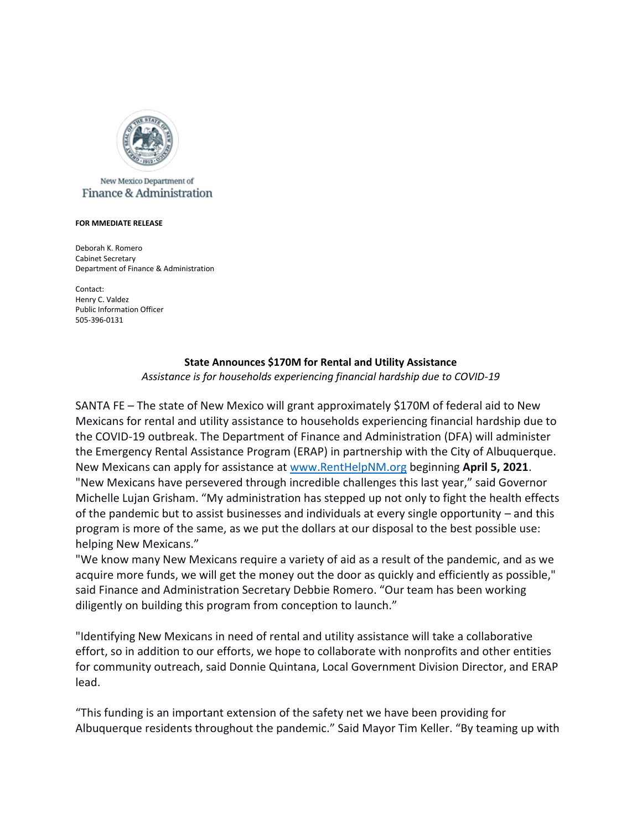

## New Mexico Department of Finance & Administration

## **FOR MMEDIATE RELEASE**

Deborah K. Romero Cabinet Secretary Department of Finance & Administration

Contact: Henry C. Valdez Public Information Officer 505-396-0131

## **State Announces \$170M for Rental and Utility Assistance**

*Assistance is for households experiencing financial hardship due to COVID-19*

SANTA FE – The state of New Mexico will grant approximately \$170M of federal aid to New Mexicans for rental and utility assistance to households experiencing financial hardship due to the COVID-19 outbreak. The Department of Finance and Administration (DFA) will administer the Emergency Rental Assistance Program (ERAP) in partnership with the City of Albuquerque. New Mexicans can apply for assistance at [www.RentHelpNM.org](http://www.renthelpnm.org/) beginning **April 5, 2021**. "New Mexicans have persevered through incredible challenges this last year," said Governor Michelle Lujan Grisham. "My administration has stepped up not only to fight the health effects of the pandemic but to assist businesses and individuals at every single opportunity – and this program is more of the same, as we put the dollars at our disposal to the best possible use: helping New Mexicans."

"We know many New Mexicans require a variety of aid as a result of the pandemic, and as we acquire more funds, we will get the money out the door as quickly and efficiently as possible," said Finance and Administration Secretary Debbie Romero. "Our team has been working diligently on building this program from conception to launch."

"Identifying New Mexicans in need of rental and utility assistance will take a collaborative effort, so in addition to our efforts, we hope to collaborate with nonprofits and other entities for community outreach, said Donnie Quintana, Local Government Division Director, and ERAP lead.

"This funding is an important extension of the safety net we have been providing for Albuquerque residents throughout the pandemic." Said Mayor Tim Keller. "By teaming up with